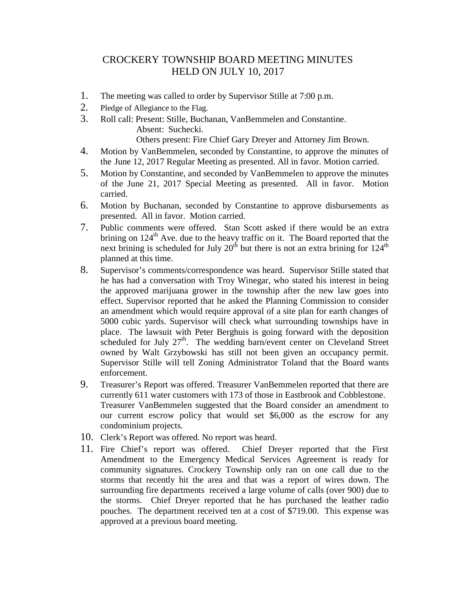## CROCKERY TOWNSHIP BOARD MEETING MINUTES HELD ON JULY 10, 2017

- 1. The meeting was called to order by Supervisor Stille at 7:00 p.m.
- 2. Pledge of Allegiance to the Flag.
- 3. Roll call: Present: Stille, Buchanan, VanBemmelen and Constantine. Absent: Suchecki. Others present: Fire Chief Gary Dreyer and Attorney Jim Brown.
- 4. Motion by VanBemmelen, seconded by Constantine, to approve the minutes of the June 12, 2017 Regular Meeting as presented. All in favor. Motion carried.
- 5. Motion by Constantine, and seconded by VanBemmelen to approve the minutes of the June 21, 2017 Special Meeting as presented. All in favor. Motion carried.
- 6. Motion by Buchanan, seconded by Constantine to approve disbursements as presented. All in favor. Motion carried.
- 7. Public comments were offered. Stan Scott asked if there would be an extra brining on  $124<sup>th</sup>$  Ave. due to the heavy traffic on it. The Board reported that the next brining is scheduled for July  $20^{th}$  but there is not an extra brining for  $124^{th}$ planned at this time.
- 8. Supervisor's comments/correspondence was heard. Supervisor Stille stated that he has had a conversation with Troy Winegar, who stated his interest in being the approved marijuana grower in the township after the new law goes into effect. Supervisor reported that he asked the Planning Commission to consider an amendment which would require approval of a site plan for earth changes of 5000 cubic yards. Supervisor will check what surrounding townships have in place. The lawsuit with Peter Berghuis is going forward with the deposition scheduled for July  $27<sup>th</sup>$ . The wedding barn/event center on Cleveland Street owned by Walt Grzybowski has still not been given an occupancy permit. Supervisor Stille will tell Zoning Administrator Toland that the Board wants enforcement.
- 9. Treasurer's Report was offered. Treasurer VanBemmelen reported that there are currently 611 water customers with 173 of those in Eastbrook and Cobblestone. Treasurer VanBemmelen suggested that the Board consider an amendment to our current escrow policy that would set \$6,000 as the escrow for any condominium projects.
- 10. Clerk's Report was offered. No report was heard.
- 11. Fire Chief's report was offered. Chief Dreyer reported that the First Amendment to the Emergency Medical Services Agreement is ready for community signatures. Crockery Township only ran on one call due to the storms that recently hit the area and that was a report of wires down. The surrounding fire departments received a large volume of calls (over 900) due to the storms. Chief Dreyer reported that he has purchased the leather radio pouches. The department received ten at a cost of \$719.00. This expense was approved at a previous board meeting.